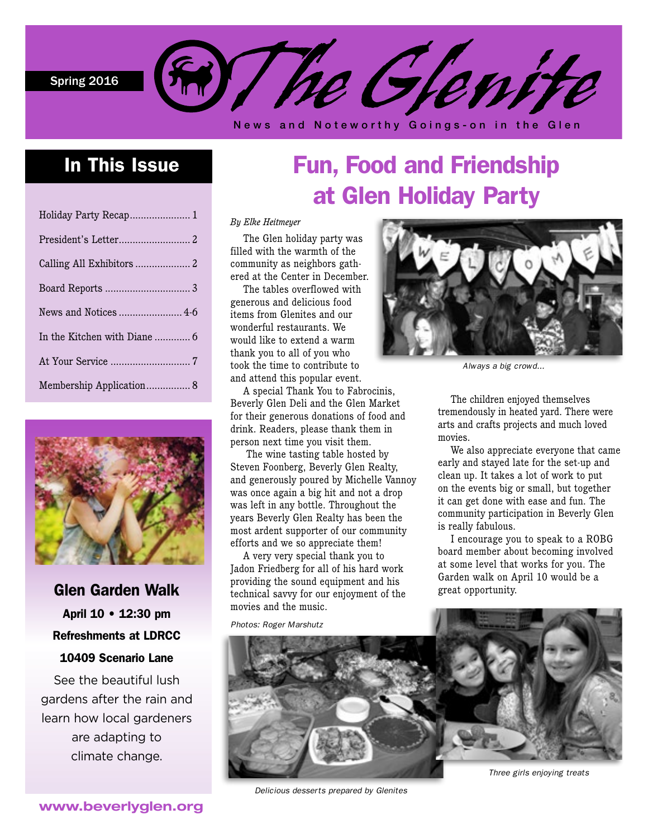Spring 2016



News and Noteworthy Goings-on in the Glen

## In This Issue

| Holiday Party Recap 1    |  |
|--------------------------|--|
|                          |  |
|                          |  |
|                          |  |
|                          |  |
|                          |  |
|                          |  |
| Membership Application 8 |  |



Glen Garden Walk April 10 • 12:30 pm Refreshments at LDRCC 10409 Scenario Lane

See the beautiful lush gardens after the rain and learn how local gardeners are adapting to climate change.

# Fun, Food and Friendship at Glen Holiday Party

#### *By Elke Heitmeyer*

The Glen holiday party was filled with the warmth of the community as neighbors gathered at the Center in December.

The tables overflowed with generous and delicious food items from Glenites and our wonderful restaurants. We would like to extend a warm thank you to all of you who took the time to contribute to and attend this popular event.

A special Thank You to Fabrocinis, Beverly Glen Deli and the Glen Market for their generous donations of food and drink. Readers, please thank them in person next time you visit them.

 The wine tasting table hosted by Steven Foonberg, Beverly Glen Realty, and generously poured by Michelle Vannoy was once again a big hit and not a drop was left in any bottle. Throughout the years Beverly Glen Realty has been the most ardent supporter of our community efforts and we so appreciate them!

A very very special thank you to Jadon Friedberg for all of his hard work providing the sound equipment and his technical savvy for our enjoyment of the movies and the music.

*Photos: Roger Marshutz*



*Always a big crowd...*

The children enjoyed themselves tremendously in heated yard. There were arts and crafts projects and much loved movies.

We also appreciate everyone that came early and stayed late for the set-up and clean up. It takes a lot of work to put on the events big or small, but together it can get done with ease and fun. The community participation in Beverly Glen is really fabulous.

I encourage you to speak to a ROBG board member about becoming involved at some level that works for you. The Garden walk on April 10 would be a great opportunity.



*Delicious desserts prepared by Glenites*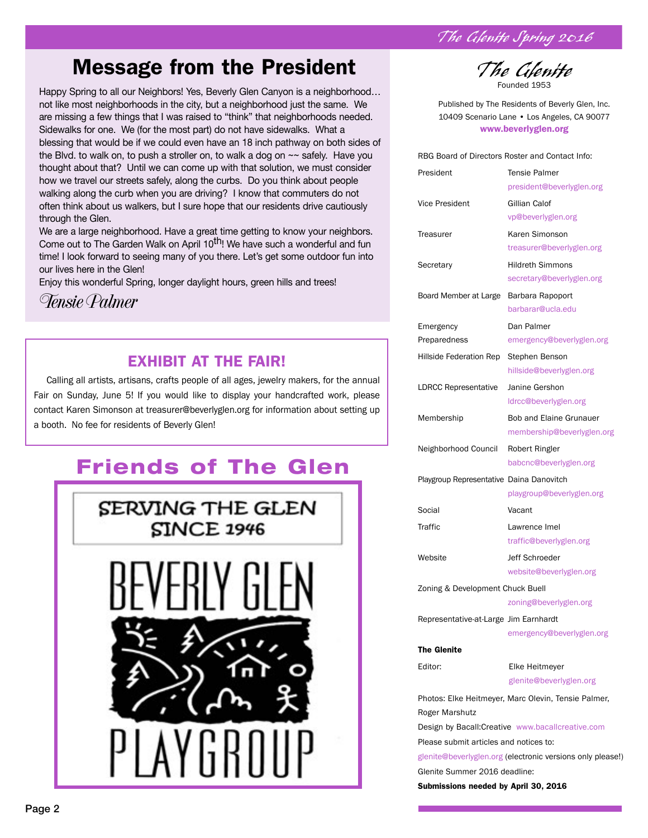*The Glenite Spring 2016*

## Message from the President

Happy Spring to all our Neighbors! Yes, Beverly Glen Canyon is a neighborhood… not like most neighborhoods in the city, but a neighborhood just the same. We are missing a few things that I was raised to "think" that neighborhoods needed. Sidewalks for one. We (for the most part) do not have sidewalks. What a blessing that would be if we could even have an 18 inch pathway on both sides of the Blvd. to walk on, to push a stroller on, to walk a dog on ~~ safely. Have you thought about that? Until we can come up with that solution, we must consider how we travel our streets safely, along the curbs. Do you think about people walking along the curb when you are driving? I know that commuters do not often think about us walkers, but I sure hope that our residents drive cautiously through the Glen.

We are a large neighborhood. Have a great time getting to know your neighbors. Come out to The Garden Walk on April 10<sup>th</sup>! We have such a wonderful and fun time! I look forward to seeing many of you there. Let's get some outdoor fun into our lives here in the Glen!

Enjoy this wonderful Spring, longer daylight hours, green hills and trees!

*Tensie Palmer*

### EXHIBIT AT THE FAIR!

Calling all artists, artisans, crafts people of all ages, jewelry makers, for the annual Fair on Sunday, June 5! If you would like to display your handcrafted work, please contact Karen Simonson at treasurer@beverlyglen.org for information about setting up a booth. No fee for residents of Beverly Glen!

## Friends of The Glen





![](_page_1_Picture_11.jpeg)

Published by The Residents of Beverly Glen, Inc. 10409 Scenario Lane • Los Angeles, CA 90077 www.beverlyglen.org

RBG Board of Directors Roster and Contact Info:

| President                                                  | <b>Tensie Palmer</b><br>president@beverlyglen.org   |  |
|------------------------------------------------------------|-----------------------------------------------------|--|
| Vice President                                             | Gillian Calof                                       |  |
|                                                            | vp@beverlyglen.org                                  |  |
| Treasurer                                                  | Karen Simonson                                      |  |
|                                                            | treasurer@beverlyglen.org                           |  |
| Secretary                                                  | <b>Hildreth Simmons</b>                             |  |
|                                                            | secretary@beverlyglen.org                           |  |
| Board Member at Large                                      | Barbara Rapoport                                    |  |
|                                                            | barbarar@ucla.edu                                   |  |
| Emergency                                                  | Dan Palmer                                          |  |
| Preparedness                                               | emergency@beverlyglen.org                           |  |
| Hillside Federation Rep                                    | Stephen Benson                                      |  |
|                                                            | hillside@beverlyglen.org                            |  |
| LDRCC Representative                                       | Janine Gershon                                      |  |
|                                                            | ldrcc@beverlyglen.org                               |  |
| Membership                                                 | Bob and Elaine Grunauer                             |  |
|                                                            | membership@beverlyglen.org                          |  |
| Neighborhood Council                                       | Robert Ringler                                      |  |
|                                                            | babcnc@beverlyglen.org                              |  |
| Playgroup Representative Daina Danovitch                   |                                                     |  |
|                                                            | playgroup@beverlyglen.org                           |  |
| Social                                                     | Vacant                                              |  |
| Traffic                                                    | Lawrence Imel                                       |  |
|                                                            | traffic@beverlyglen.org                             |  |
| Website                                                    | Jeff Schroeder                                      |  |
|                                                            | website@beverlyglen.org                             |  |
| Zoning & Development Chuck Buell                           |                                                     |  |
|                                                            | zoning@beverlyglen.org                              |  |
| Representative-at-Large Jim Earnhardt                      |                                                     |  |
|                                                            | emergency@beverlyglen.org                           |  |
| The Glenite                                                |                                                     |  |
| Editor:                                                    | Elke Heitmeyer                                      |  |
|                                                            | glenite@beverlyglen.org                             |  |
|                                                            | Photos: Elke Heitmeyer, Marc Olevin, Tensie Palmer, |  |
| Roger Marshutz                                             |                                                     |  |
|                                                            | Design by Bacall: Creative www.bacallcreative.com   |  |
| Please submit articles and notices to:                     |                                                     |  |
| glenite@beverlyglen.org (electronic versions only please!) |                                                     |  |
| Glenite Summer 2016 deadline:                              |                                                     |  |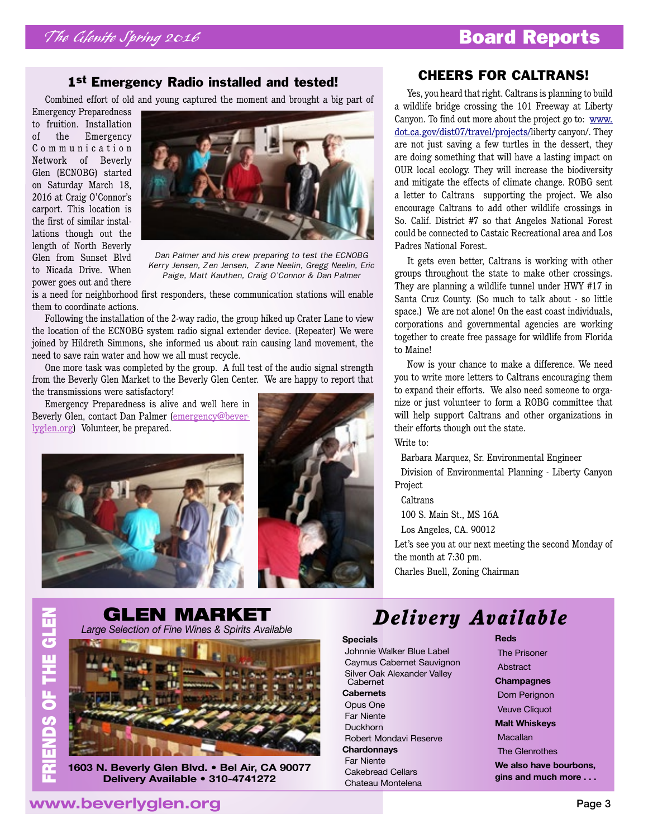### 1<sup>st</sup> Emergency Radio installed and tested!

Combined effort of old and young captured the moment and brought a big part of

Emergency Preparedness to fruition. Installation of the Emergency C o m m u n i c a t i o n Network of Beverly Glen (ECNOBG) started on Saturday March 18, 2016 at Craig O'Connor's carport. This location is the first of similar installations though out the length of North Beverly Glen from Sunset Blvd to Nicada Drive. When power goes out and there

![](_page_2_Picture_5.jpeg)

*Dan Palmer and his crew preparing to test the ECNOBG Kerry Jensen, Zen Jensen, Zane Neelin, Gregg Neelin, Eric Paige, Matt Kauthen, Craig O'Connor & Dan Palmer*

is a need for neighborhood first responders, these communication stations will enable them to coordinate actions.

Following the installation of the 2-way radio, the group hiked up Crater Lane to view the location of the ECNOBG system radio signal extender device. (Repeater) We were joined by Hildreth Simmons, she informed us about rain causing land movement, the need to save rain water and how we all must recycle.

One more task was completed by the group. A full test of the audio signal strength from the Beverly Glen Market to the Beverly Glen Center. We are happy to report that the transmissions were satisfactory!

Emergency Preparedness is alive and well here in Beverly Glen, contact Dan Palmer [\(emergency@bever](mailto:emergency@beverlyglen.org)[lyglen.org\)](mailto:emergency@beverlyglen.org) Volunteer, be prepared.

![](_page_2_Picture_11.jpeg)

![](_page_2_Picture_12.jpeg)

#### CHEERS FOR CALTRANS!

Yes, you heard that right. Caltrans is planning to build a wildlife bridge crossing the 101 Freeway at Liberty Canyon. To find out more about the project go to: [www.](http://www.dot.ca.gov/dist07/travel/projects/) [dot.ca.gov/dist07/travel/projects/l](http://www.dot.ca.gov/dist07/travel/projects/)iberty canyon/. They are not just saving a few turtles in the dessert, they are doing something that will have a lasting impact on OUR local ecology. They will increase the biodiversity and mitigate the effects of climate change. ROBG sent a letter to Caltrans supporting the project. We also encourage Caltrans to add other wildlife crossings in So. Calif. District #7 so that Angeles National Forest could be connected to Castaic Recreational area and Los Padres National Forest.

It gets even better, Caltrans is working with other groups throughout the state to make other crossings. They are planning a wildlife tunnel under HWY #17 in Santa Cruz County. (So much to talk about - so little space.) We are not alone! On the east coast individuals, corporations and governmental agencies are working together to create free passage for wildlife from Florida to Maine!

Now is your chance to make a difference. We need you to write more letters to Caltrans encouraging them to expand their efforts. We also need someone to organize or just volunteer to form a ROBG committee that will help support Caltrans and other organizations in their efforts though out the state.

Write to:

Barbara Marquez, Sr. Environmental Engineer

Division of Environmental Planning - Liberty Canyon Project

**Caltrans** 

100 S. Main St., MS 16A

Los Angeles, CA. 90012

Let's see you at our next meeting the second Monday of the month at 7:30 pm.

**Reds**

Charles Buell, Zoning Chairman

## **GLEN MARKET**<br>Large Selection of Fine Wines & Spirits Available

![](_page_2_Picture_27.jpeg)

**1603 N. Beverly Glen Blvd. • Bel Air, CA 90077 Delivery Available • 310-4741272**

## *Large Selection of Fine Wines & Spirits Available Delivery Available*

#### **Specials**

 Johnnie Walker Blue Label Caymus Cabernet Sauvignon Silver Oak Alexander Valley Cabernet **Cabernets** Opus One Far Niente Duckhorn

 Robert Mondavi Reserve **Chardonnays** Far Niente Cakebread Cellars Chateau Montelena

 The Prisoner Abstract **Champagnes** Dom Perignon

 Veuve Cliquot **Malt Whiskeys**

**Macallan** 

The Glenrothes

**We also have bourbons, gins and much more . . .**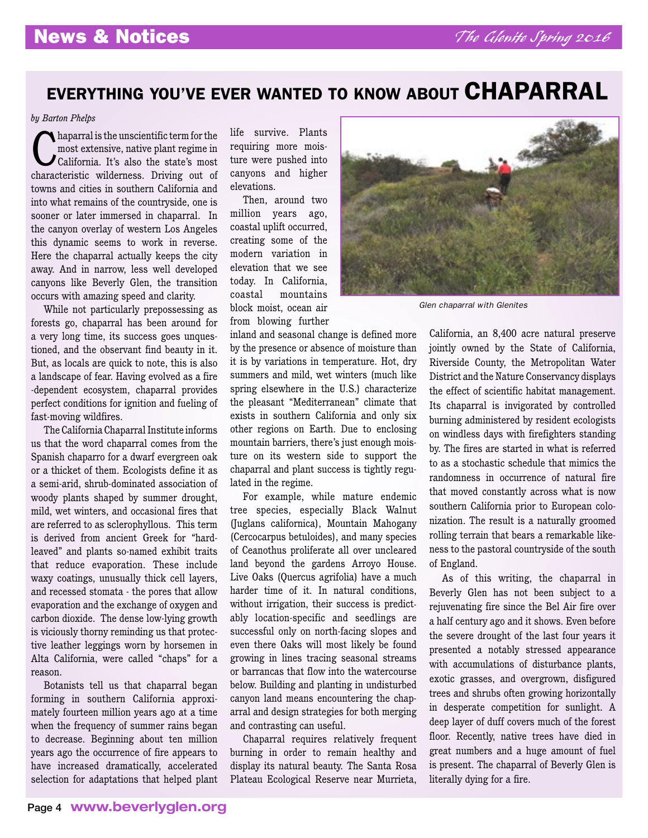## EVERYTHING YOU'VE EVER WANTED TO KNOW ABOUT CHAPARRAL

#### *by Barton Phelps*

Chaparral is the unscientific term for the<br>
most extensive, native plant regime in<br>
California. It's also the state's most most extensive, native plant regime in characteristic wilderness. Driving out of towns and cities in southern California and into what remains of the countryside, one is sooner or later immersed in chaparral. In the canyon overlay of western Los Angeles this dynamic seems to work in reverse. Here the chaparral actually keeps the city away. And in narrow, less well developed canyons like Beverly Glen, the transition occurs with amazing speed and clarity.

While not particularly prepossessing as forests go, chaparral has been around for a very long time, its success goes unquestioned, and the observant find beauty in it. But, as locals are quick to note, this is also a landscape of fear. Having evolved as a fire -dependent ecosystem, chaparral provides perfect conditions for ignition and fueling of fast-moving wildfires.

The California Chaparral Institute informs us that the word chaparral comes from the Spanish chaparro for a dwarf evergreen oak or a thicket of them. Ecologists define it as a semi-arid, shrub-dominated association of woody plants shaped by summer drought, mild, wet winters, and occasional fires that are referred to as sclerophyllous. This term is derived from ancient Greek for "hardleaved" and plants so-named exhibit traits that reduce evaporation. These include waxy coatings, unusually thick cell layers, and recessed stomata - the pores that allow evaporation and the exchange of oxygen and carbon dioxide. The dense low-lying growth is viciously thorny reminding us that protective leather leggings worn by horsemen in Alta California, were called "chaps" for a reason.

Botanists tell us that chaparral began forming in southern California approximately fourteen million years ago at a time when the frequency of summer rains began to decrease. Beginning about ten million years ago the occurrence of fire appears to have increased dramatically, accelerated selection for adaptations that helped plant life survive. Plants requiring more moisture were pushed into canyons and higher elevations.

Then, around two million years ago, coastal uplift occurred, creating some of the modern variation in elevation that we see today. In California, coastal mountains block moist, ocean air from blowing further

inland and seasonal change is defined more by the presence or absence of moisture than it is by variations in temperature. Hot, dry summers and mild, wet winters (much like spring elsewhere in the U.S.) characterize the pleasant "Mediterranean" climate that exists in southern California and only six other regions on Earth. Due to enclosing mountain barriers, there's just enough moisture on its western side to support the chaparral and plant success is tightly regulated in the regime.

For example, while mature endemic tree species, especially Black Walnut (Juglans californica), Mountain Mahogany (Cercocarpus betuloides), and many species of Ceanothus proliferate all over uncleared land beyond the gardens Arroyo House. Live Oaks (Quercus agrifolia) have a much harder time of it. In natural conditions, without irrigation, their success is predictably location-specific and seedlings are successful only on north-facing slopes and even there Oaks will most likely be found growing in lines tracing seasonal streams or barrancas that flow into the watercourse below. Building and planting in undisturbed canyon land means encountering the chaparral and design strategies for both merging and contrasting can useful.

Chaparral requires relatively frequent burning in order to remain healthy and display its natural beauty. The Santa Rosa Plateau Ecological Reserve near Murrieta,

![](_page_3_Picture_13.jpeg)

*Glen chaparral with Glenites*

California, an 8,400 acre natural preserve jointly owned by the State of California, Riverside County, the Metropolitan Water District and the Nature Conservancy displays the effect of scientific habitat management. Its chaparral is invigorated by controlled burning administered by resident ecologists on windless days with firefighters standing by. The fires are started in what is referred to as a stochastic schedule that mimics the randomness in occurrence of natural fire that moved constantly across what is now southern California prior to European colonization. The result is a naturally groomed rolling terrain that bears a remarkable likeness to the pastoral countryside of the south of England.

As of this writing, the chaparral in Beverly Glen has not been subject to a rejuvenating fire since the Bel Air fire over a half century ago and it shows. Even before the severe drought of the last four years it presented a notably stressed appearance with accumulations of disturbance plants, exotic grasses, and overgrown, disfigured trees and shrubs often growing horizontally in desperate competition for sunlight. A deep layer of duff covers much of the forest floor. Recently, native trees have died in great numbers and a huge amount of fuel is present. The chaparral of Beverly Glen is literally dying for a fire.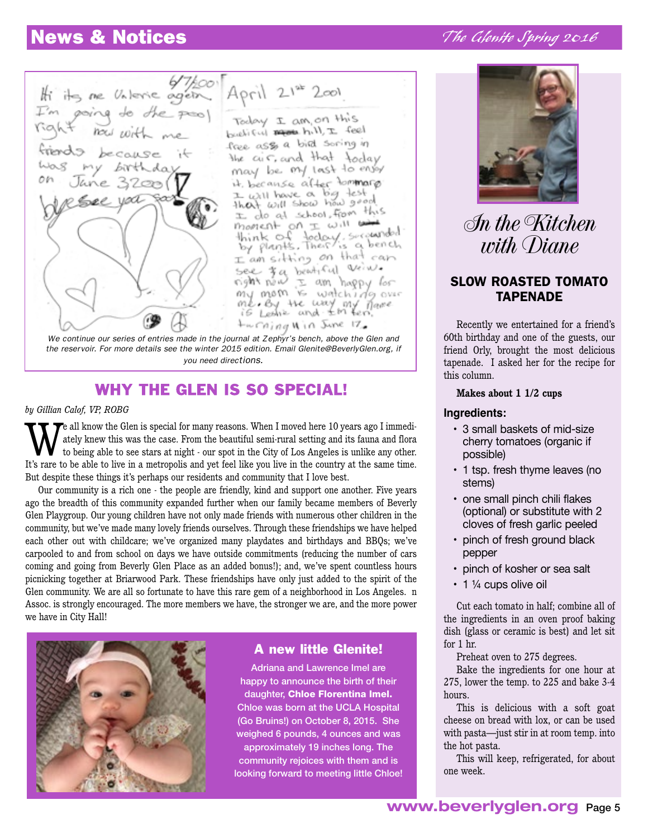## News & Notices

![](_page_4_Picture_1.jpeg)

 $April 2142 2001$ Today I am on this buchiful manuel hill, I feel face asso a bild soring in the cur. and that today may be my last to ensor it, because after tommarp to because a big test the collision this moment on I will with think of today, seconded<br>by plants. There's a bench is a bench I am sitting on that can see 3 a bentiful veins. right néw I am happy *los*<br>my mom is watching over

me by the way my *Thane*<br>is Ledie and <del>I</del>'m ben. twrning **Nin** June 17, *the reservoir. For more details see the winter 2015 edition. Email [Glenite@BeverlyGlen.org](file:///Users/patricia/Documents/%20Jobs%20in%20Progress/Glenite/2016Spring/x-webdoc://7B3DFE12-D021-4B65-A9A5-2DCC6ECB185D/Glenite@BeverlyGlen.org), if* 

#### *you need directions.*

### WHY THE GLEN IS SO SPECIAL!

#### *by Gillian Calof, VP, ROBG*

We all know the Glen is special for many reasons. When I moved here 10 years ago I immediately knew this was the case. From the beautiful semi-rural setting and its fauna and flora to being able to see stars at night - our ately knew this was the case. From the beautiful semi-rural setting and its fauna and flora to being able to see stars at night - our spot in the City of Los Angeles is unlike any other. It's rare to be able to live in a metropolis and yet feel like you live in the country at the same time. But despite these things it's perhaps our residents and community that I love best.

Our community is a rich one - the people are friendly, kind and support one another. Five years ago the breadth of this community expanded further when our family became members of Beverly Glen Playgroup. Our young children have not only made friends with numerous other children in the community, but we've made many lovely friends ourselves. Through these friendships we have helped each other out with childcare; we've organized many playdates and birthdays and BBQs; we've carpooled to and from school on days we have outside commitments (reducing the number of cars coming and going from Beverly Glen Place as an added bonus!); and, we've spent countless hours picnicking together at Briarwood Park. These friendships have only just added to the spirit of the Glen community. We are all so fortunate to have this rare gem of a neighborhood in Los Angeles. n Assoc. is strongly encouraged. The more members we have, the stronger we are, and the more power we have in City Hall!

![](_page_4_Picture_9.jpeg)

### A new little Glenite!

Adriana and Lawrence Imel are happy to announce the birth of their daughter, Chloe Florentina Imel. Chloe was born at the UCLA Hospital (Go Bruins!) on October 8, 2015. She weighed 6 pounds, 4 ounces and was approximately 19 inches long. The community rejoices with them and is looking forward to meeting little Chloe!

### *The Glenite Spring 2016*

![](_page_4_Picture_13.jpeg)

*In the Kitchen with Diane*

### SLOW ROASTED TOMATO TAPENADE

Recently we entertained for a friend's 60th birthday and one of the guests, our friend Orly, brought the most delicious tapenade. I asked her for the recipe for this column.

#### **Makes about 1 1/2 cups**

#### **Ingredients:**

- 3 small baskets of mid-size cherry tomatoes (organic if possible)
- 1 tsp. fresh thyme leaves (no stems)
- one small pinch chili flakes (optional) or substitute with 2 cloves of fresh garlic peeled
- pinch of fresh ground black pepper
- pinch of kosher or sea salt
- $\cdot$  1  $\frac{1}{4}$  cups olive oil

Cut each tomato in half; combine all of the ingredients in an oven proof baking dish (glass or ceramic is best) and let sit for 1 hr.

Preheat oven to 275 degrees.

Bake the ingredients for one hour at 275, lower the temp. to 225 and bake 3-4 hours.

This is delicious with a soft goat cheese on bread with lox, or can be used with pasta—just stir in at room temp. into the hot pasta.

This will keep, refrigerated, for about one week.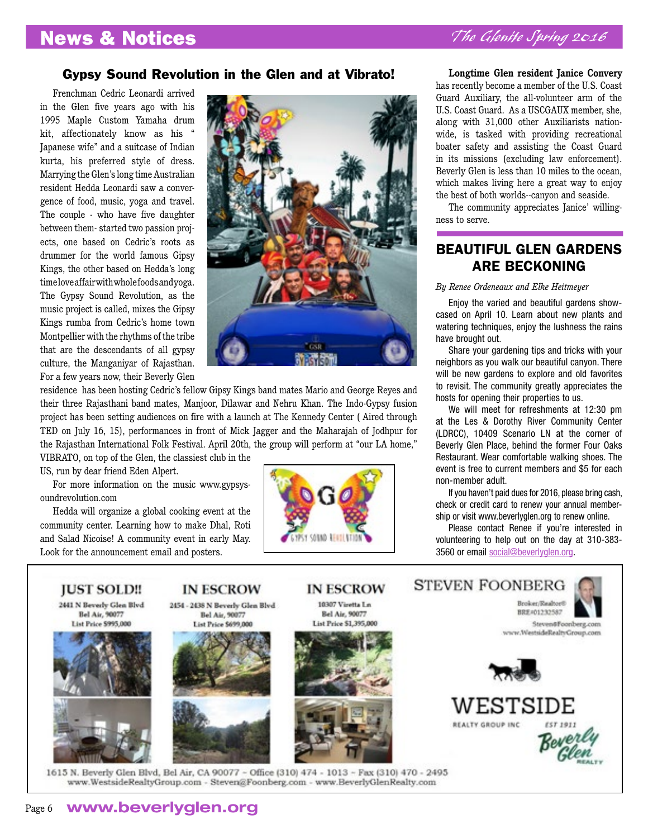### Gypsy Sound Revolution in the Glen and at Vibrato!

Frenchman Cedric Leonardi arrived in the Glen five years ago with his 1995 Maple Custom Yamaha drum kit, affectionately know as his " Japanese wife" and a suitcase of Indian kurta, his preferred style of dress. Marrying the Glen's long time Australian resident Hedda Leonardi saw a convergence of food, music, yoga and travel. The couple - who have five daughter between them- started two passion projects, one based on Cedric's roots as drummer for the world famous Gipsy Kings, the other based on Hedda's long time love affair with whole foods and yoga. The Gypsy Sound Revolution, as the music project is called, mixes the Gipsy Kings rumba from Cedric's home town Montpellier with the rhythms of the tribe that are the descendants of all gypsy culture, the Manganiyar of Rajasthan. For a few years now, their Beverly Glen

![](_page_5_Picture_4.jpeg)

residence has been hosting Cedric's fellow Gipsy Kings band mates Mario and George Reyes and their three Rajasthani band mates, Manjoor, Dilawar and Nehru Khan. The Indo-Gypsy fusion project has been setting audiences on fire with a launch at The Kennedy Center ( Aired through TED on July 16, 15), performances in front of Mick Jagger and the Maharajah of Jodhpur for the Rajasthan International Folk Festival. April 20th, the group will perform at "our LA home," VIBRATO, on top of the Glen, the classiest club in the

US, run by dear friend Eden Alpert.

For more information on the music www.gypsysoundrevolution.com

Hedda will organize a global cooking event at the community center. Learning how to make Dhal, Roti and Salad Nicoise! A community event in early May. Look for the announcement email and posters.

![](_page_5_Picture_9.jpeg)

**Longtime Glen resident Janice Convery**  has recently become a member of the U.S. Coast Guard Auxiliary, the all-volunteer arm of the U.S. Coast Guard. As a USCGAUX member, she, along with 31,000 other Auxiliarists nationwide, is tasked with providing recreational boater safety and assisting the Coast Guard in its missions (excluding law enforcement). Beverly Glen is less than 10 miles to the ocean, which makes living here a great way to enjoy the best of both worlds--canyon and seaside.

The community appreciates Janice' willingness to serve.

### BEAUTIFUL GLEN GARDENS ARE BECKONING

#### *By Renee Ordeneaux and Elke Heitmeyer*

Enjoy the varied and beautiful gardens showcased on April 10. Learn about new plants and watering techniques, enjoy the lushness the rains have brought out.

Share your gardening tips and tricks with your neighbors as you walk our beautiful canyon. There will be new gardens to explore and old favorites to revisit. The community greatly appreciates the hosts for opening their properties to us.

We will meet for refreshments at 12:30 pm at the Les & Dorothy River Community Center (LDRCC), 10409 Scenario LN at the corner of Beverly Glen Place, behind the former Four Oaks Restaurant. Wear comfortable walking shoes. The event is free to current members and \$5 for each non-member adult.

If you haven't paid dues for 2016, please bring cash, check or credit card to renew your annual membership or visit www.beverlyglen.org to renew online.

Please contact Renee if you're interested in volunteering to help out on the day at 310-383- 3560 or email [social@beverlyglen.org.](file:///Users/patricia/Documents/%20Jobs%20in%20Progress/Glenite/2016Spring/social@beverlyglen.org)

![](_page_5_Picture_19.jpeg)

Page 6 **www.beverlyglen.org**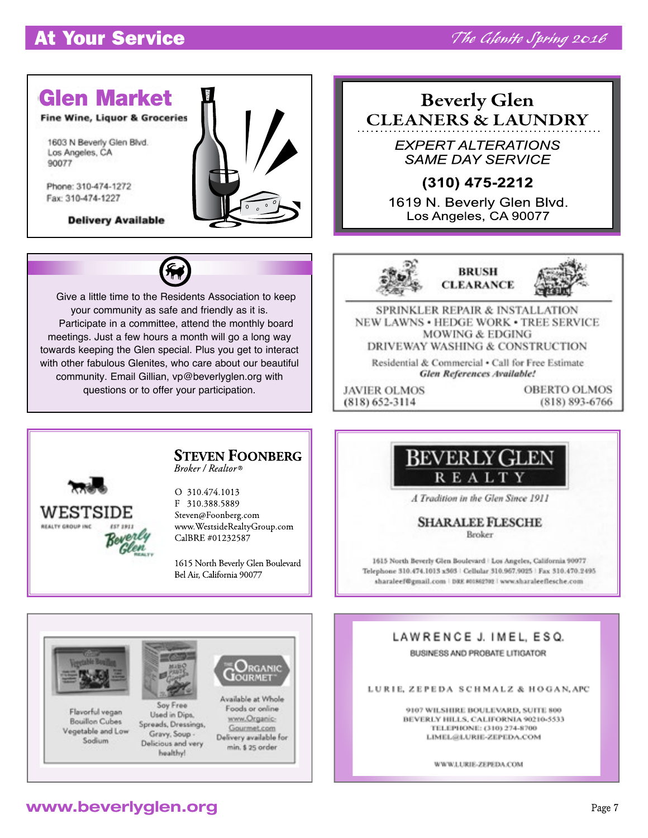### <u>It Idal Schvi</u> At Your Service

![](_page_6_Picture_2.jpeg)

**Beverly Glen CLEANERS & LAUNDRY** 

> **EXPERT ALTERATIONS SAME DAY SERVICE**

### $(310)$  475-2212

1619 N. Beverly Glen Blvd. Los Angeles, CA 90077

![](_page_6_Picture_7.jpeg)

Give a little time to the Residents Association to keep your community as safe and friendly as it is. Participate in a committee, attend the monthly board meetings. Just a few hours a month will go a long way towards keeping the Glen special. Plus you get to interact with other fabulous Glenites, who care about our beautiful community. Email Gillian, vp@beverlyglen.org with questions or to offer your participation.

![](_page_6_Picture_9.jpeg)

![](_page_6_Picture_10.jpeg)

**SPRINKLER REPAIR & INSTALLATION** NEW LAWNS . HEDGE WORK . TREE SERVICE **MOWING & EDGING** DRIVEWAY WASHING & CONSTRUCTION

Residential & Commercial . Call for Free Estimate **Glen References Available!** 

**JAVIER OLMOS**  $(818) 652 - 3114$ 

**OBERTO OLMOS** (818) 893-6766

![](_page_6_Picture_16.jpeg)

#### **STEVEN FOONBERG** Broker / Realtor®

O 310.474.1013 F 310.388.5889 Steven@Foonberg.com www.WestsideRealtyGroup.com CalBRE #01232587

1615 North Beverly Glen Boulevard Bel Air, California 90077

### **BEVERLY GLEN REALTY**

A Tradition in the Glen Since 1911

**SHARALEE FLESCHE Replace** 

1615 North Beverly Glen Boulevard | Los Angeles, California 90077 Telephone 310.474.1013 x303 | Cellular 310.967.9025 | Fax 310.470.2495 sharaleef@gmail.com | DRE #01862702 | www.sharaleeflesche.com

### LAWRENCE J. IMEL. ESQ. BUSINESS AND PROBATE LITIGATOR

LURIE, ZEPEDA SCHMALZ & HOGAN, APC

9107 WILSHIRE BOULEVARD, SUITE 800 BEVERLY HILLS, CALIFORNIA 90210-5533 TELEPHONE: (310) 274-8700 LIMEL@LURIE-ZEPEDA.COM

WWW.LURIE-ZEPEDA.COM

![](_page_6_Picture_28.jpeg)

### **www.beverlyglen.org**